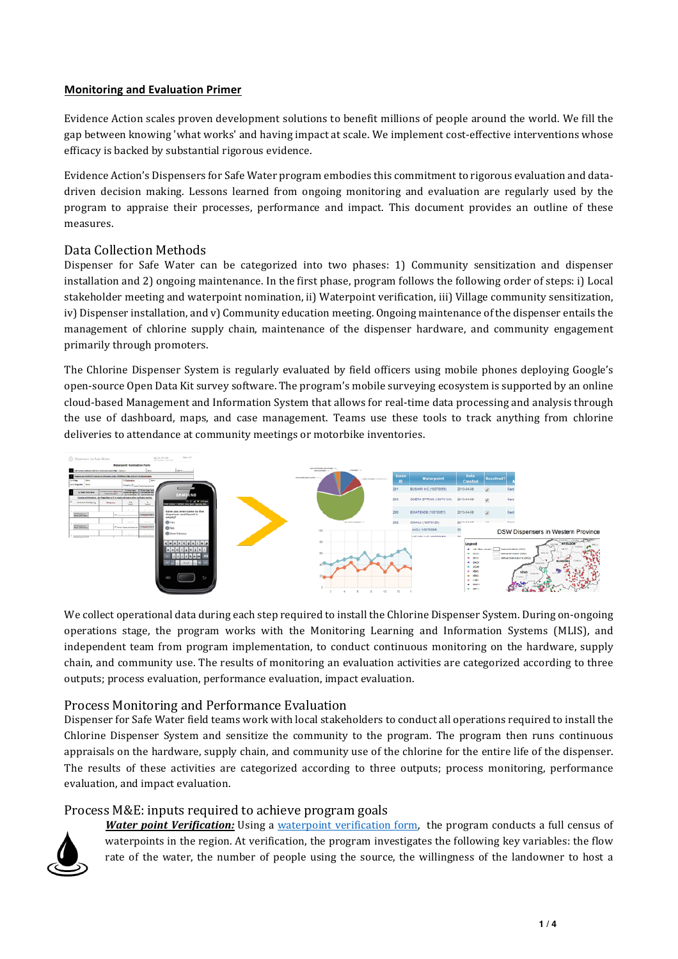### **Monitoring and Evaluation Primer**

Evidence Action scales proven development solutions to benefit millions of people around the world. We fill the gap between knowing 'what works' and having impact at scale. We implement cost-effective interventions whose efficacy is backed by substantial rigorous evidence.

Evidence Action's Dispensers for Safe Water program embodies this commitment to rigorous evaluation and datadriven decision making. Lessons learned from ongoing monitoring and evaluation are regularly used by the program to appraise their processes, performance and impact. This document provides an outline of these measures.

# Data Collection Methods

Dispenser for Safe Water can be categorized into two phases: 1) Community sensitization and dispenser installation and 2) ongoing maintenance. In the first phase, program follows the following order of steps: i) Local stakeholder meeting and waterpoint nomination, ii) Waterpoint verification, iii) Village community sensitization, iv) Dispenser installation, and v) Community education meeting. Ongoing maintenance of the dispenser entails the management of chlorine supply chain, maintenance of the dispenser hardware, and community engagement primarily through promoters.

The Chlorine Dispenser System is regularly evaluated by field officers using mobile phones deploying Google's open-source Open Data Kit survey software. The program's mobile surveying ecosystem is supported by an online cloud-based Management and Information System that allows for real-time data processing and analysis through the use of dashboard, maps, and case management. Teams use these tools to track anything from chlorine deliveries to attendance at community meetings or motorbike inventories.



We collect operational data during each step required to install the Chlorine Dispenser System. During on-ongoing operations stage, the program works with the Monitoring Learning and Information Systems (MLIS), and independent team from program implementation, to conduct continuous monitoring on the hardware, supply chain, and community use. The results of monitoring an evaluation activities are categorized according to three outputs; process evaluation, performance evaluation, impact evaluation.

## Process Monitoring and Performance Evaluation

Dispenser for Safe Water field teams work with local stakeholders to conduct all operations required to install the Chlorine Dispenser System and sensitize the community to the program. The program then runs continuous appraisals on the hardware, supply chain, and community use of the chlorine for the entire life of the dispenser. The results of these activities are categorized according to three outputs; process monitoring, performance evaluation, and impact evaluation.

## Process M&E: inputs required to achieve program goals



**Water point Verification:** Using a waterpoint verification form, the program conducts a full census of waterpoints in the region. At verification, the program investigates the following key variables: the flow rate of the water, the number of people using the source, the willingness of the landowner to host a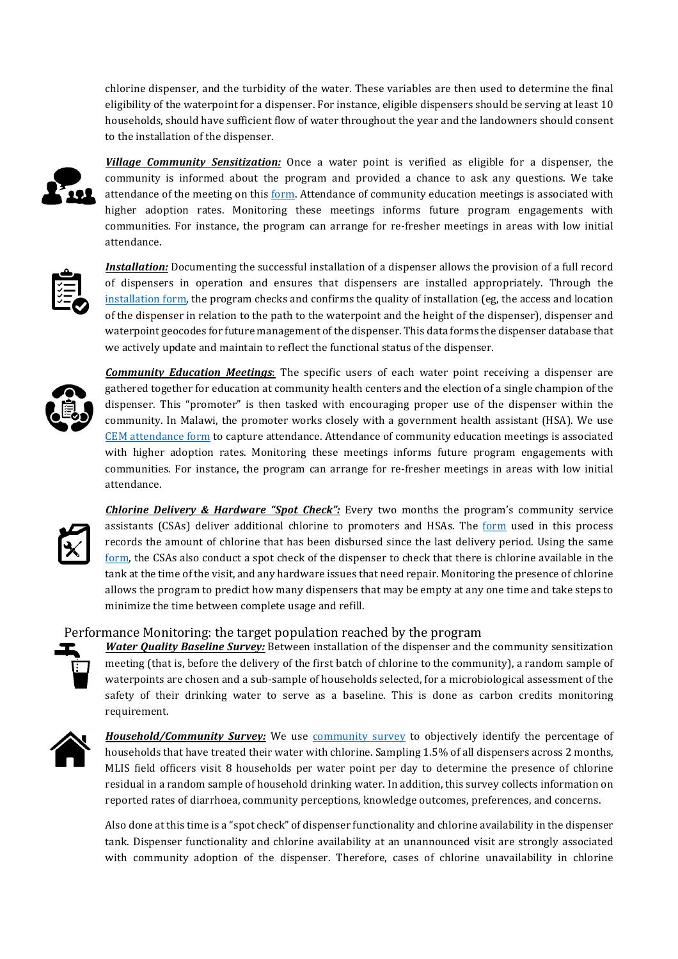chlorine dispenser, and the turbidity of the water. These variables are then used to determine the final eligibility of the waterpoint for a dispenser. For instance, eligible dispensers should be serving at least 10 households, should have sufficient flow of water throughout the year and the landowners should consent to the installation of the dispenser.



**Village Community Sensitization:** Once a water point is verified as eligible for a dispenser, the community is informed about the program and provided a chance to ask any questions. We take attendance of the meeting on this form. Attendance of community education meetings is associated with higher adoption rates. Monitoring these meetings informs future program engagements with communities. For instance, the program can arrange for re-fresher meetings in areas with low initial attendance. 



*Installation:* Documenting the successful installation of a dispenser allows the provision of a full record of dispensers in operation and ensures that dispensers are installed appropriately. Through the installation form, the program checks and confirms the quality of installation (eg, the access and location of the dispenser in relation to the path to the waterpoint and the height of the dispenser), dispenser and waterpoint geocodes for future management of the dispenser. This data forms the dispenser database that we actively update and maintain to reflect the functional status of the dispenser.



*Community Education Meetings*: The specific users of each water point receiving a dispenser are gathered together for education at community health centers and the election of a single champion of the dispenser. This "promoter" is then tasked with encouraging proper use of the dispenser within the community. In Malawi, the promoter works closely with a government health assistant (HSA). We use CEM attendance form to capture attendance. Attendance of community education meetings is associated with higher adoption rates. Monitoring these meetings informs future program engagements with communities. For instance, the program can arrange for re-fresher meetings in areas with low initial attendance. 



**Chlorine Delivery & Hardware "Spot Check":** Every two months the program's community service assistants (CSAs) deliver additional chlorine to promoters and HSAs. The form used in this process records the amount of chlorine that has been disbursed since the last delivery period. Using the same form, the CSAs also conduct a spot check of the dispenser to check that there is chlorine available in the tank at the time of the visit, and any hardware issues that need repair. Monitoring the presence of chlorine allows the program to predict how many dispensers that may be empty at any one time and take steps to minimize the time between complete usage and refill.

## Performance Monitoring: the target population reached by the program

**Water Quality Baseline Survey:** Between installation of the dispenser and the community sensitization meeting (that is, before the delivery of the first batch of chlorine to the community), a random sample of waterpoints are chosen and a sub-sample of households selected, for a microbiological assessment of the safety of their drinking water to serve as a baseline. This is done as carbon credits monitoring requirement. 



*Household/Community Survey:* We use *community survey* to objectively identify the percentage of households that have treated their water with chlorine. Sampling 1.5% of all dispensers across 2 months, MLIS field officers visit 8 households per water point per day to determine the presence of chlorine residual in a random sample of household drinking water. In addition, this survey collects information on reported rates of diarrhoea, community perceptions, knowledge outcomes, preferences, and concerns.

Also done at this time is a "spot check" of dispenser functionality and chlorine availability in the dispenser tank. Dispenser functionality and chlorine availability at an unannounced visit are strongly associated with community adoption of the dispenser. Therefore, cases of chlorine unavailability in chlorine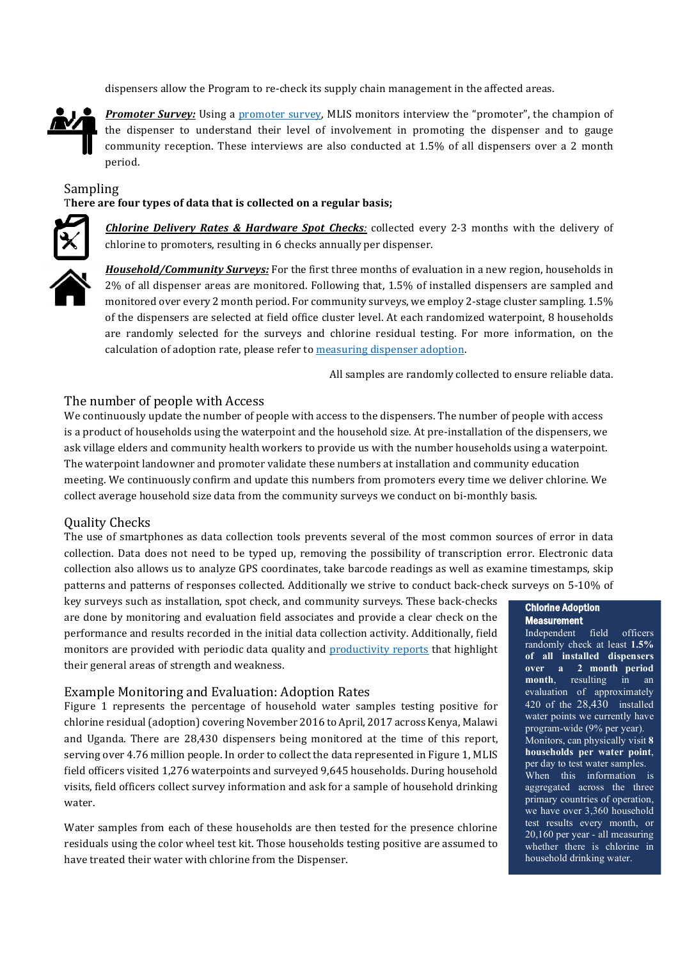dispensers allow the Program to re-check its supply chain management in the affected areas.



**Promoter Survey:** Using a promoter survey, MLIS monitors interview the "promoter", the champion of the dispenser to understand their level of involvement in promoting the dispenser and to gauge community reception. These interviews are also conducted at  $1.5\%$  of all dispensers over a 2 month period. 

Sampling

There are four types of data that is collected on a regular basis;



**Chlorine Delivery Rates & Hardware Spot Checks**: collected every 2-3 months with the delivery of chlorine to promoters, resulting in 6 checks annually per dispenser.



*Household/Community Surveys:* For the first three months of evaluation in a new region, households in 2% of all dispenser areas are monitored. Following that, 1.5% of installed dispensers are sampled and monitored over every 2 month period. For community surveys, we employ 2-stage cluster sampling. 1.5% of the dispensers are selected at field office cluster level. At each randomized waterpoint, 8 households are randomly selected for the surveys and chlorine residual testing. For more information, on the calculation of adoption rate, please refer to measuring dispenser adoption.

All samples are randomly collected to ensure reliable data.

### The number of people with Access

We continuously update the number of people with access to the dispensers. The number of people with access is a product of households using the waterpoint and the household size. At pre-installation of the dispensers, we ask village elders and community health workers to provide us with the number households using a waterpoint. The waterpoint landowner and promoter validate these numbers at installation and community education meeting. We continuously confirm and update this numbers from promoters every time we deliver chlorine. We collect average household size data from the community surveys we conduct on bi-monthly basis.

#### Quality Checks

The use of smartphones as data collection tools prevents several of the most common sources of error in data collection. Data does not need to be typed up, removing the possibility of transcription error. Electronic data collection also allows us to analyze GPS coordinates, take barcode readings as well as examine timestamps, skip patterns and patterns of responses collected. Additionally we strive to conduct back-check surveys on 5-10% of

key surveys such as installation, spot check, and community surveys. These back-checks are done by monitoring and evaluation field associates and provide a clear check on the performance and results recorded in the initial data collection activity. Additionally, field monitors are provided with periodic data quality and productivity reports that highlight their general areas of strength and weakness.

#### Example Monitoring and Evaluation: Adoption Rates

Figure 1 represents the percentage of household water samples testing positive for chlorine residual (adoption) covering November 2016 to April, 2017 across Kenya, Malawi and Uganda. There are 28,430 dispensers being monitored at the time of this report, serving over 4.76 million people. In order to collect the data represented in Figure 1, MLIS field officers visited 1,276 waterpoints and surveyed 9,645 households. During household visits, field officers collect survey information and ask for a sample of household drinking water. 

Water samples from each of these households are then tested for the presence chlorine residuals using the color wheel test kit. Those households testing positive are assumed to have treated their water with chlorine from the Dispenser.

### Chlorine Adoption **Measurement**

Independent field officers randomly check at least **1.5% of all installed dispensers over a 2 month period month**, resulting in an evaluation of approximately  $\overline{420}$  of the  $\overline{28,430}$  installed water points we currently have program-wide (9% per year). Monitors, can physically visit **8 households per water point**, per day to test water samples. When this information is aggregated across the three primary countries of operation, we have over 3,360 household test results every month, or 20,160 per year - all measuring whether there is chlorine in household drinking water.